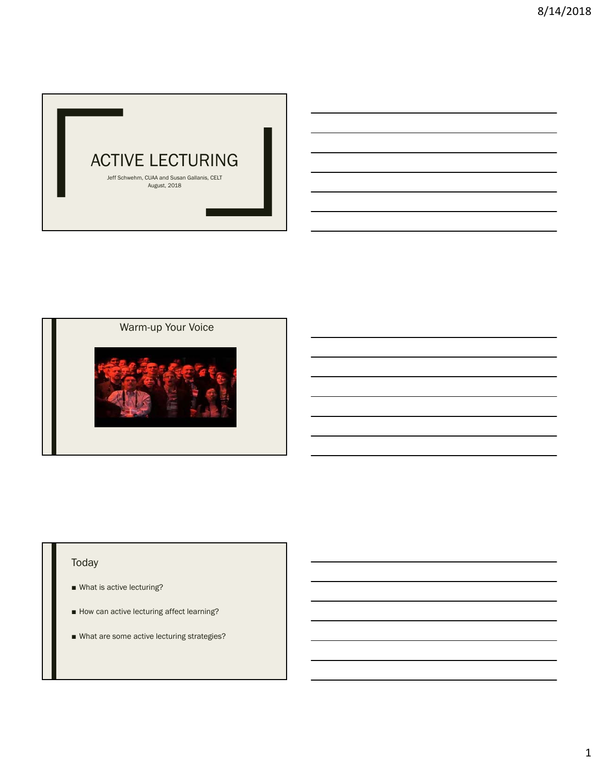

Warm-up Your Voice



## Today

- What is active lecturing?
- How can active lecturing affect learning?
- What are some active lecturing strategies?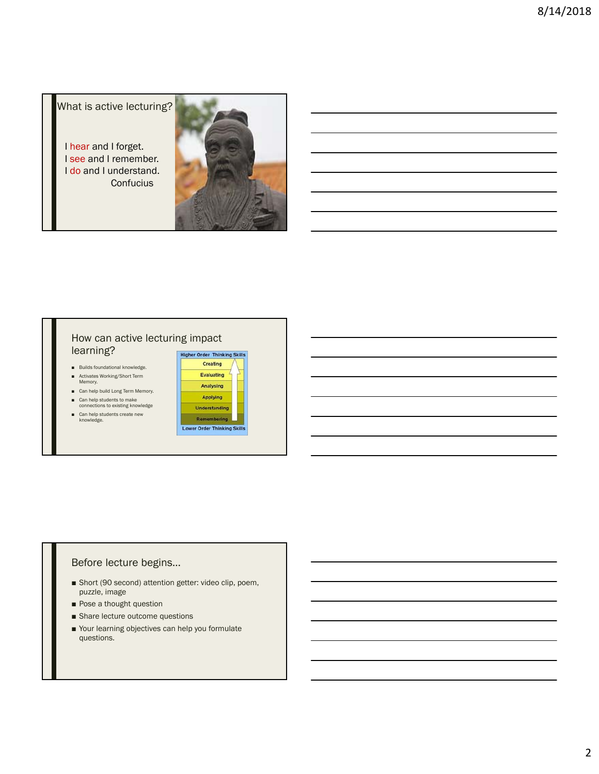What is active lecturing?

I hear and I forget. I see and I remember. I do and I understand. **Confucius** 



### How can active lecturing impact learning?

- Builds foundational knowledge.
- Activates Working/Short Term<br>Memory.
- Can help build Long Term Memory.
- Can help students to make<br>connections to existing knowledge
- Can help students create new<br>knowledge.



### Before lecture begins…

- Short (90 second) attention getter: video clip, poem, puzzle, image
- Pose a thought question
- Share lecture outcome questions
- Your learning objectives can help you formulate questions.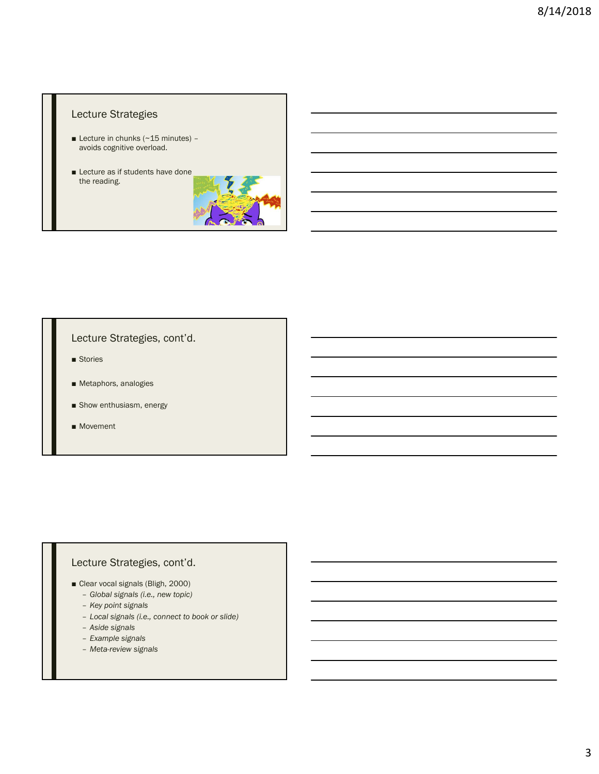### Lecture Strategies

- Lecture in chunks (~15 minutes) avoids cognitive overload.
- Lecture as if students have done the reading.



## Lecture Strategies, cont'd.

- Stories
- Metaphors, analogies
- Show enthusiasm, energy
- Movement

## Lecture Strategies, cont'd.

- Clear vocal signals (Bligh, 2000)
	- *Global signals (i.e., new topic)*
	- *Key point signals*
	- *Local signals (i.e., connect to book or slide)*
	- *Aside signals*
	- *Example signals*
	- *Meta-review signals*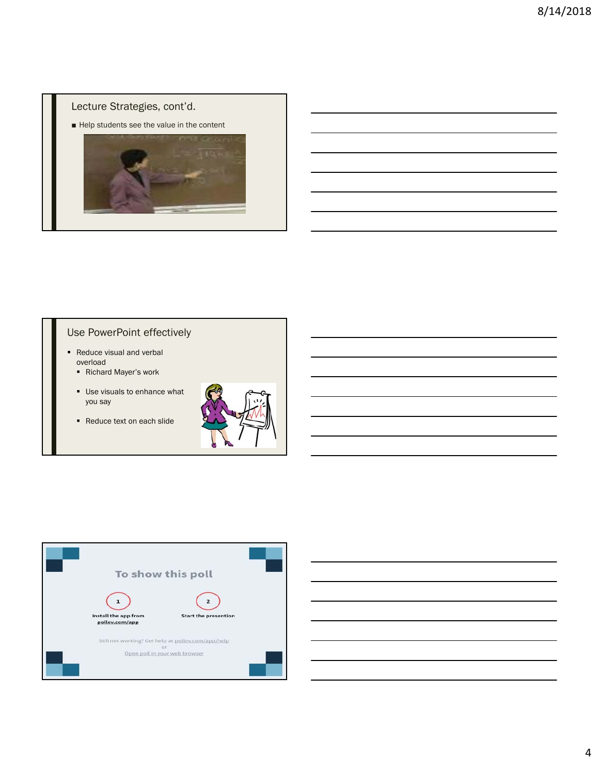## Lecture Strategies, cont'd.

■ Help students see the value in the content



# Use PowerPoint effectively

- Reduce visual and verbal overload
	- Richard Mayer's work
	- Use visuals to enhance what you say
	- Reduce text on each slide





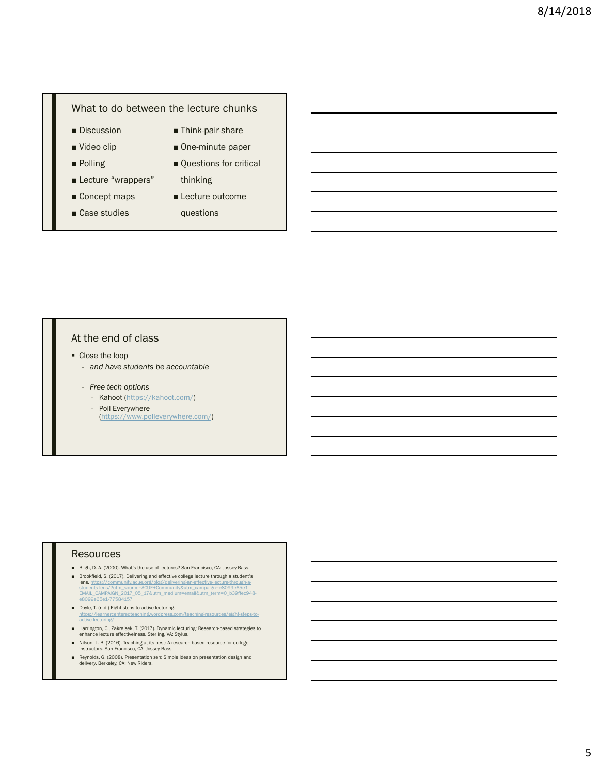## What to do between the lecture chunks

- Discussion
- Video clip
- Polling
- Lecture "wrappers"
- Concept maps
- Case studies
- Think-pair-share
	-
	- One-minute paper
	- Questions for critical thinking
	- Lecture outcome

questions

## At the end of class

- Close the loop
	- *and have students be accountable*
	- *Free tech options*
		- Kahoot (https://kahoot.com/)
		- Poll Everywhere (https://www.polleverywhere.com/)

#### Resources

- Bligh, D. A. (2000). What's the use of lectures? San Francisco, CA: Jossey-Bass.
- Brookfield, S. (2017). Delivering and effective college lecture through a student's lens. https://community.acue.org/blog/delivering-an-effective-lecture-through-al<mark>ens.</mark> https://community.acue.org/blog/delivering-an-effective-lecture-through-a-<br>students-lens/?utm\_source=ACUE+Community&utm\_campaign=e8099e65e1-<br>EMAIL\_CAMPAIGN\_2017\_05\_17&utm\_medium=email&utm\_term=0\_b39ffec948e8099e65e1-77584157
- Doyle, T. (n.d.) Eight steps to active lecturing. /teaching-resources/eight-steps-to active-lecturing/
- Harrington, C., Zakrajsek, T. (2017). Dynamic lecturing: Research-based strategies to enhance lecture effectivelness. Sterling, VA: Stylus.
- Nilson, L. B. (2016). Teaching at its best: A research-based resource for college instructors. San Francisco, CA: Jossey-Bass.
- Reynolds, G. (2008). Presentation zen: Simple ideas on presentation design and delivery. Berkeley, CA: New Riders.